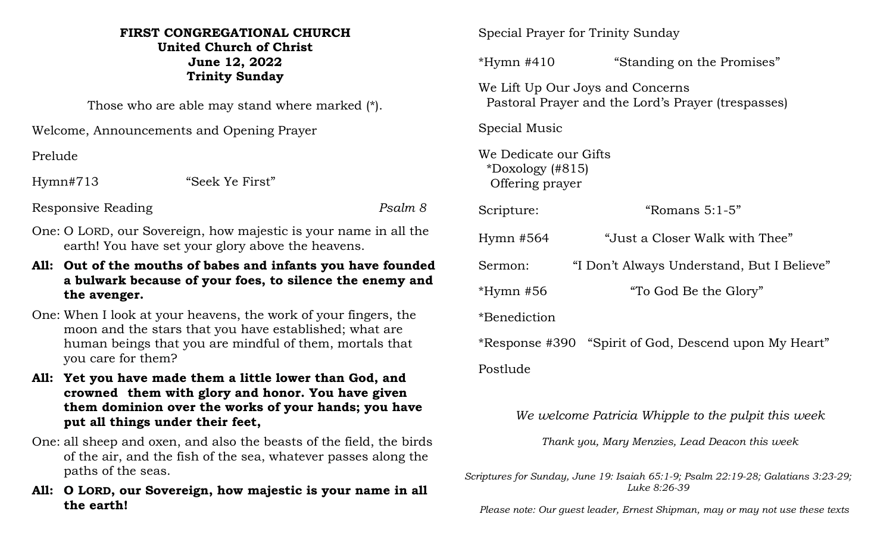## **FIRST CONGREGATIONAL CHURCH United Church of Christ June 12, 2022 Trinity Sunday**

Those who are able may stand where marked (\*).

Welcome, Announcements and Opening Prayer

Prelude

Hymn#713 "Seek Ye First"

Responsive Reading *Psalm 8*

- One: O LORD, our Sovereign, how majestic is your name in all the earth! You have set your glory above the heavens.
- **All: Out of the mouths of babes and infants you have founded a bulwark because of your foes, to silence the enemy and the avenger.**
- One: When I look at your heavens, the work of your fingers, the moon and the stars that you have established; what are human beings that you are mindful of them, mortals that you care for them?
- **All: Yet you have made them a little lower than God, and crowned them with glory and honor. You have given them dominion over the works of your hands; you have put all things under their feet,**
- One: all sheep and oxen, and also the beasts of the field, the birds of the air, and the fish of the sea, whatever passes along the paths of the seas.
- **All: O LORD, our Sovereign, how majestic is your name in all the earth!**

Special Prayer for Trinity Sunday

\*Hymn #410 "Standing on the Promises"

We Lift Up Our Joys and Concerns Pastoral Prayer and the Lord's Prayer (trespasses)

Special Music

We Dedicate our Gifts \*Doxology (#815) Offering prayer

Scripture: "Romans 5:1-5"

Hymn #564 "Just a Closer Walk with Thee"

Sermon: "I Don't Always Understand, But I Believe"

\*Hymn #56 "To God Be the Glory"

\*Benediction

\*Response #390 "Spirit of God, Descend upon My Heart"

Postlude

*We welcome Patricia Whipple to the pulpit this week*

*Thank you, Mary Menzies, Lead Deacon this week*

*Scriptures for Sunday, June 19: Isaiah 65:1-9; Psalm 22:19-28; Galatians 3:23-29; Luke 8:26-39*

 *Please note: Our guest leader, Ernest Shipman, may or may not use these texts*